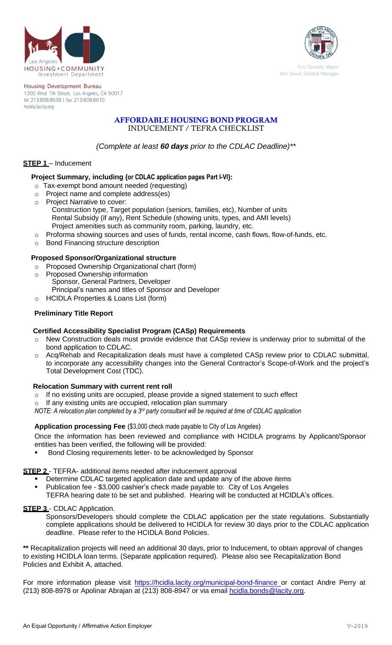



**Housing Development Bureau** 1200 West 7th Street, Los Angeles, CA 90017 tel 213.808.8638 | fax 213.808.8610 hcidla.lacity.org

# **AFFORDABLE HOUSING BOND PROGRAM** INDUCEMENT / TEFRA CHECKLIST

*(Complete at least 60 days prior to the CDLAC Deadline)\*\**

# **STEP 1** – Inducement

## **Project Summary, including (or CDLAC application pages Part I-VI):**

- o Tax-exempt bond amount needed (requesting)
- o Project name and complete address(es)
- o Project Narrative to cover: Construction type, Target population (seniors, families, etc), Number of units Rental Subsidy (if any), Rent Schedule (showing units, types, and AMI levels) Project amenities such as community room, parking, laundry, etc.
- o Proforma showing sources and uses of funds, rental income, cash flows, flow-of-funds, etc.
- o Bond Financing structure description

# **Proposed Sponsor/Organizational structure**

- o Proposed Ownership Organizational chart (form)
- o Proposed Ownership information
- Sponsor, General Partners, Developer Principal's names and titles of Sponsor and Developer
- o HCIDLA Properties & Loans List (form)

# **Preliminary Title Report**

## **Certified Accessibility Specialist Program (CASp) Requirements**

- o New Construction deals must provide evidence that CASp review is underway prior to submittal of the bond application to CDLAC.
- o Acq/Rehab and Recapitalization deals must have a completed CASp review prior to CDLAC submittal, to incorporate any accessibility changes into the General Contractor's Scope-of-Work and the project's Total Development Cost (TDC).

## **Relocation Summary with current rent roll**

- $\circ$  If no existing units are occupied, please provide a signed statement to such effect
- If any existing units are occupied, relocation plan summary

*NOTE: A relocation plan completed by a 3rd party consultant will be required at time of CDLAC application*

#### **Application processing Fee** (\$3,000 check made payable to City of Los Angeles)

Once the information has been reviewed and compliance with HCIDLA programs by Applicant/Sponsor entities has been verified, the following will be provided:

Bond Closing requirements letter- to be acknowledged by Sponsor

#### **STEP 2** - TEFRA- additional items needed after inducement approval

- Determine CDLAC targeted application date and update any of the above items
- Publication fee \$3,000 cashier's check made payable to: City of Los Angeles TEFRA hearing date to be set and published. Hearing will be conducted at HCIDLA's offices.

#### **STEP 3** - CDLAC Application.

Sponsors/Developers should complete the CDLAC application per the state regulations. Substantially complete applications should be delivered to HCIDLA for review 30 days prior to the CDLAC application deadline. Please refer to the HCIDLA Bond Policies.

**\*\*** Recapitalization projects will need an additional 30 days, prior to Inducement, to obtain approval of changes to existing HCIDLA loan terms. (Separate application required). Please also see Recapitalization Bond Policies and Exhibit A, attached.

For more information please visit [https://hcidla.lacity.org/municipal-bond-finance o](https://hcidla.lacity.org/municipal-bond-finance)r contact Andre Perry at (213) 808-8978 or Apolinar Abrajan at (213) 808-8947 or via email hoidla.bonds@lacity.org.